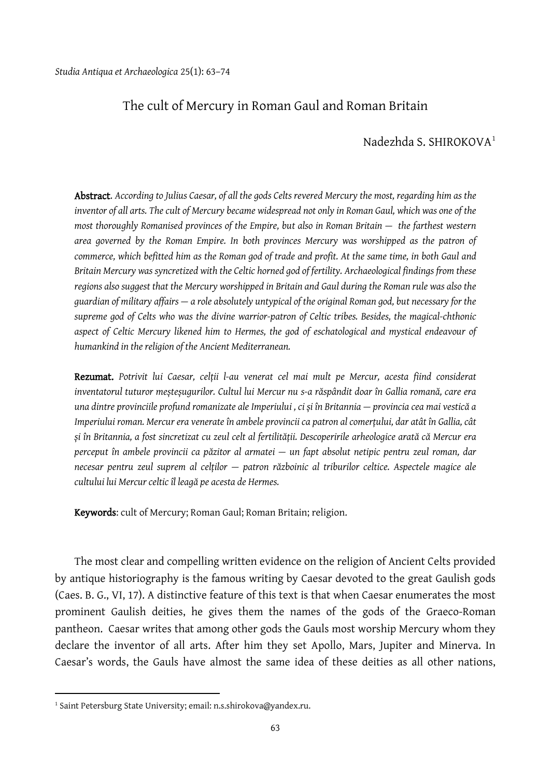## The cult of Mercury in Roman Gaul and Roman Britain

## Nadezhda S. SHIROKOVA[1](#page-0-0)

Abstract. *According to Julius Caesar, of all the gods Celts revered Mercury the most, regarding him as the inventor of all arts. The cult of Mercury became widespread not only in Roman Gaul, which was one of the most thoroughly Romanised provinces of the Empire, but also in Roman Britain — the farthest western area governed by the Roman Empire. In both provinces Mercury was worshipped as the patron of commerce, which befitted him as the Roman god of trade and profit. At the same time, in both Gaul and Britain Mercury was syncretized with the Celtic horned god of fertility. Archaeological findings from these regions also suggest that the Mercury worshipped in Britain and Gaul during the Roman rule was also the guardian of military affairs — a role absolutely untypical of the original Roman god, but necessary for the supreme god of Celts who was the divine warrior-patron of Celtic tribes. Besides, the magical-chthonic aspect of Celtic Mercury likened him to Hermes, the god of eschatological and mystical endeavour of humankind in the religion of the Ancient Mediterranean.*

Rezumat. *Potrivit lui Caesar, celții l-au venerat cel mai mult pe Mercur, acesta fiind considerat inventatorul tuturor meșteșugurilor. Cultul lui Mercur nu s-a răspândit doar în Gallia romană, care era una dintre provinciile profund romanizate ale Imperiului , ci și în Britannia — provincia cea mai vestică a Imperiului roman. Mercur era venerate în ambele provincii ca patron al comerțului, dar atât în Gallia, cât și în Britannia, a fost sincretizat cu zeul celt al fertilității. Descoperirile arheologice arată că Mercur era perceput în ambele provincii ca păzitor al armatei — un fapt absolut netipic pentru zeul roman, dar necesar pentru zeul suprem al celților — patron războinic al triburilor celtice. Aspectele magice ale cultului lui Mercur celtic îl leagă pe acesta de Hermes.*

Keywords: cult of Mercury; Roman Gaul; Roman Britain; religion.

The most clear and compelling written evidence on the religion of Ancient Celts provided by antique historiography is the famous writing by Caesar devoted to the great Gaulish gods (Caes. B. G., VI, 17). A distinctive feature of this text is that when Caesar enumerates the most prominent Gaulish deities, he gives them the names of the gods of the Graeco-Roman pantheon. Caesar writes that among other gods the Gauls most worship Mercury whom they declare the inventor of all arts. After him they set Apollo, Mars, Jupiter and Minerva. In Caesar's words, the Gauls have almost the same idea of these deities as all other nations,

<span id="page-0-0"></span><sup>&</sup>lt;sup>1</sup> Saint Petersburg State University; email: n.s.shirokova@yandex.ru.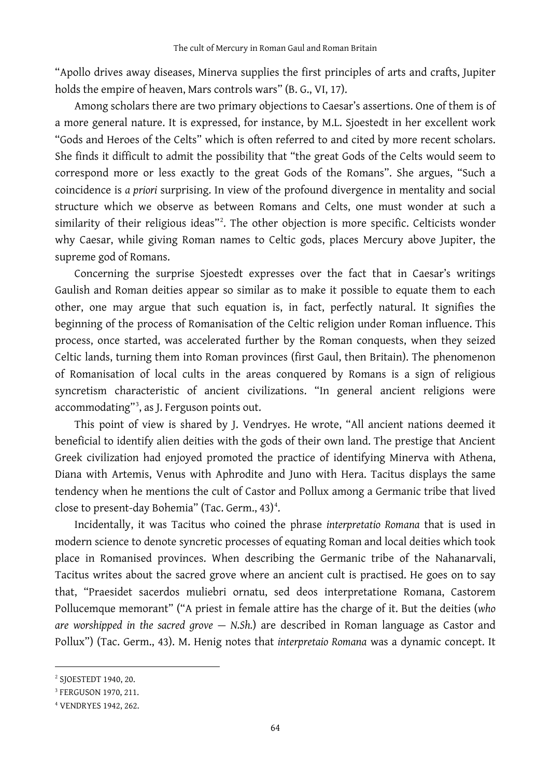"Apollo drives away diseases, Minerva supplies the first principles of arts and crafts, Jupiter holds the empire of heaven, Mars controls wars" (B. G., VI, 17).

Among scholars there are two primary objections to Caesar's assertions. One of them is of a more general nature. It is expressed, for instance, by M.L. Sjoestedt in her excellent work "Gods and Heroes of the Celts" which is often referred to and cited by more recent scholars. She finds it difficult to admit the possibility that "the great Gods of the Celts would seem to correspond more or less exactly to the great Gods of the Romans". She argues, "Such a coincidence is *a priori* surprising. In view of the profound divergence in mentality and social structure which we observe as between Romans and Celts, one must wonder at such a similarity of their religious ideas"[2](#page-1-0) . The other objection is more specific. Celticists wonder why Caesar, while giving Roman names to Celtic gods, places Mercury above Jupiter, the supreme god of Romans.

Concerning the surprise Sjoestedt expresses over the fact that in Caesar's writings Gaulish and Roman deities appear so similar as to make it possible to equate them to each other, one may argue that such equation is, in fact, perfectly natural. It signifies the beginning of the process of Romanisation of the Celtic religion under Roman influence. This process, once started, was accelerated further by the Roman conquests, when they seized Celtic lands, turning them into Roman provinces (first Gaul, then Britain). The phenomenon of Romanisation of local cults in the areas conquered by Romans is a sign of religious syncretism characteristic of ancient civilizations. "In general ancient religions were accommodating"[3](#page-1-1) , as J. Ferguson points out.

This point of view is shared by J. Vendryes. He wrote, "All ancient nations deemed it beneficial to identify alien deities with the gods of their own land. The prestige that Ancient Greek civilization had enjoyed promoted the practice of identifying Minerva with Athena, Diana with Artemis, Venus with Aphrodite and Juno with Hera. Tacitus displays the same tendency when he mentions the cult of Castor and Pollux among a Germanic tribe that lived close to present-day Bohemia" (Tac. Germ., [4](#page-1-2)3)<sup>4</sup>.

Incidentally, it was Tacitus who coined the phrase *interpretatio Romana* that is used in modern science to denote syncretic processes of equating Roman and local deities which took place in Romanised provinces. When describing the Germanic tribe of the Nahanarvali, Tacitus writes about the sacred grove where an ancient cult is practised. He goes on to say that, "Praesidet sacerdos muliebri ornatu, sed deos interpretatione Romana, Castorem Pollucemque memorant" ("A priest in female attire has the charge of it. But the deities (*who are worshipped in the sacred grove — N.Sh.*) are described in Roman language as Castor and Pollux") (Tac. Germ., 43). M. Henig notes that *interpretaio Romana* was a dynamic concept. It

<span id="page-1-0"></span><sup>2</sup> SJOESTEDT 1940, 20.

<span id="page-1-1"></span><sup>3</sup> FERGUSON 1970, 211.

<span id="page-1-2"></span><sup>4</sup> VENDRYES 1942, 262.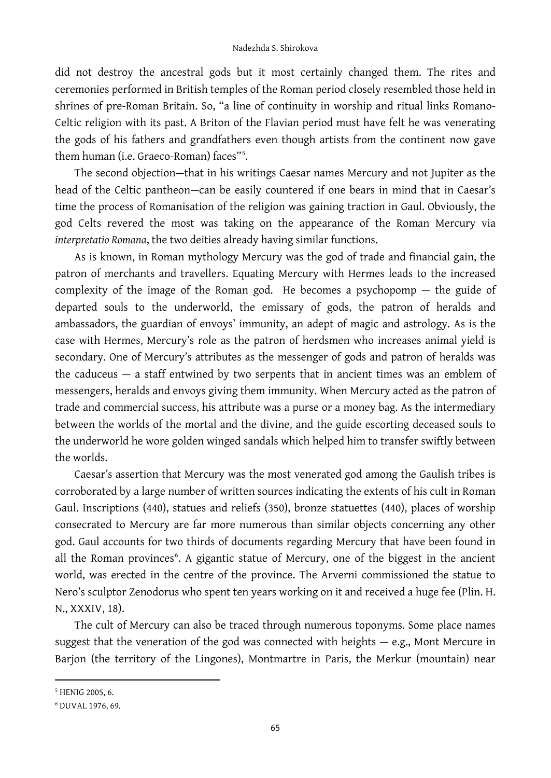did not destroy the ancestral gods but it most certainly changed them. The rites and ceremonies performed in British temples of the Roman period closely resembled those held in shrines of pre-Roman Britain. So, "a line of continuity in worship and ritual links Romano-Celtic religion with its past. A Briton of the Flavian period must have felt he was venerating the gods of his fathers and grandfathers even though artists from the continent now gave them human (i.e. Graeco-Roman) faces"[5](#page-2-0) .

The second objection—that in his writings Caesar names Mercury and not Jupiter as the head of the Celtic pantheon—can be easily countered if one bears in mind that in Caesar's time the process of Romanisation of the religion was gaining traction in Gaul. Obviously, the god Celts revered the most was taking on the appearance of the Roman Mercury via *interpretatio Romana*, the two deities already having similar functions.

As is known, in Roman mythology Mercury was the god of trade and financial gain, the patron of merchants and travellers. Equating Mercury with Hermes leads to the increased complexity of the image of the Roman god. He becomes a psychopomp — the guide of departed souls to the underworld, the emissary of gods, the patron of heralds and ambassadors, the guardian of envoys' immunity, an adept of magic and astrology. As is the case with Hermes, Mercury's role as the patron of herdsmen who increases animal yield is secondary. One of Mercury's attributes as the messenger of gods and patron of heralds was the caduceus  $-$  a staff entwined by two serpents that in ancient times was an emblem of messengers, heralds and envoys giving them immunity. When Mercury acted as the patron of trade and commercial success, his attribute was a purse or a money bag. As the intermediary between the worlds of the mortal and the divine, and the guide escorting deceased souls to the underworld he wore golden winged sandals which helped him to transfer swiftly between the worlds.

Caesar's assertion that Mercury was the most venerated god among the Gaulish tribes is corroborated by a large number of written sources indicating the extents of his cult in Roman Gaul. Inscriptions (440), statues and reliefs (350), bronze statuettes (440), places of worship consecrated to Mercury are far more numerous than similar objects concerning any other god. Gaul accounts for two thirds of documents regarding Mercury that have been found in all the Roman provinces<sup>[6](#page-2-1)</sup>. A gigantic statue of Mercury, one of the biggest in the ancient world, was erected in the centre of the province. The Arverni commissioned the statue to Nero's sculptor Zenodorus who spent ten years working on it and received a huge fee (Plin. H. N., XXXIV, 18).

The cult of Mercury can also be traced through numerous toponyms. Some place names suggest that the veneration of the god was connected with heights — e.g., Mont Mercure in Barjon (the territory of the Lingones), Montmartre in Paris, the Merkur (mountain) near

<span id="page-2-0"></span><sup>5</sup> HENIG 2005, 6.

<span id="page-2-1"></span><sup>6</sup> DUVAL 1976, 69.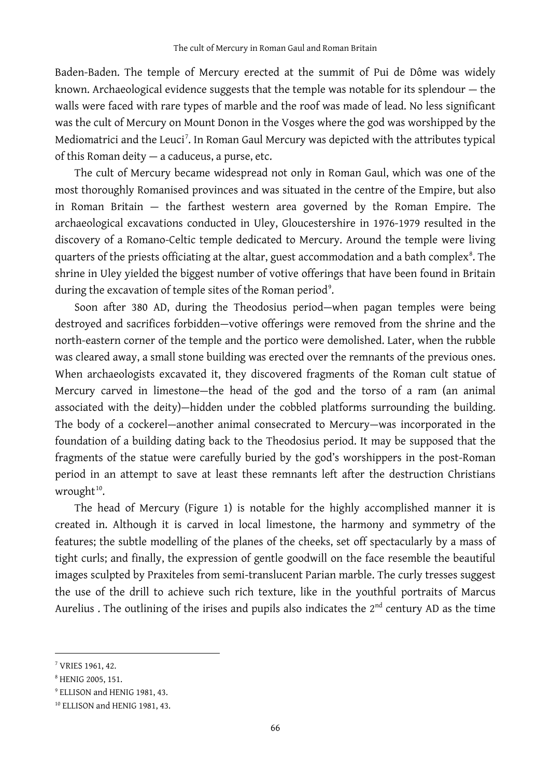Baden-Baden. The temple of Mercury erected at the summit of Pui de Dôme was widely known. Archaeological evidence suggests that the temple was notable for its splendour — the walls were faced with rare types of marble and the roof was made of lead. No less significant was the cult of Mercury on Mount Donon in the Vosges where the god was worshipped by the Mediomatrici and the Leuci<sup>[7](#page-3-0)</sup>. In Roman Gaul Mercury was depicted with the attributes typical of this Roman deity — a caduceus, a purse, etc.

The cult of Mercury became widespread not only in Roman Gaul, which was one of the most thoroughly Romanised provinces and was situated in the centre of the Empire, but also in Roman Britain — the farthest western area governed by the Roman Empire. The archaeological excavations conducted in Uley, Gloucestershire in 1976-1979 resulted in the discovery of a Romano-Celtic temple dedicated to Mercury. Around the temple were living quarters of the priests officiating at the altar, guest accommodation and a bath complex $^8$  $^8$ . The shrine in Uley yielded the biggest number of votive offerings that have been found in Britain during the excavation of temple sites of the Roman period $^{\circ}$ .

Soon after 380 AD, during the Theodosius period—when pagan temples were being destroyed and sacrifices forbidden—votive offerings were removed from the shrine and the north-eastern corner of the temple and the portico were demolished. Later, when the rubble was cleared away, a small stone building was erected over the remnants of the previous ones. When archaeologists excavated it, they discovered fragments of the Roman cult statue of Mercury carved in limestone—the head of the god and the torso of a ram (an animal associated with the deity)—hidden under the cobbled platforms surrounding the building. The body of a cockerel—another animal consecrated to Mercury—was incorporated in the foundation of a building dating back to the Theodosius period. It may be supposed that the fragments of the statue were carefully buried by the god's worshippers in the post-Roman period in an attempt to save at least these remnants left after the destruction Christians wrought $10$ .

The head of Mercury (Figure 1) is notable for the highly accomplished manner it is created in. Although it is carved in local limestone, the harmony and symmetry of the features; the subtle modelling of the planes of the cheeks, set off spectacularly by a mass of tight curls; and finally, the expression of gentle goodwill on the face resemble the beautiful images sculpted by Praxiteles from semi-translucent Parian marble. The curly tresses suggest the use of the drill to achieve such rich texture, like in the youthful portraits of Marcus Aurelius . The outlining of the irises and pupils also indicates the  $2<sup>nd</sup>$  century AD as the time

<span id="page-3-0"></span><sup>7</sup> VRIES 1961, 42.

<span id="page-3-1"></span><sup>8</sup> HENIG 2005, 151.

<span id="page-3-2"></span><sup>9</sup> ELLISON and HENIG 1981, 43.

<span id="page-3-3"></span><sup>&</sup>lt;sup>10</sup> ELLISON and HENIG 1981, 43.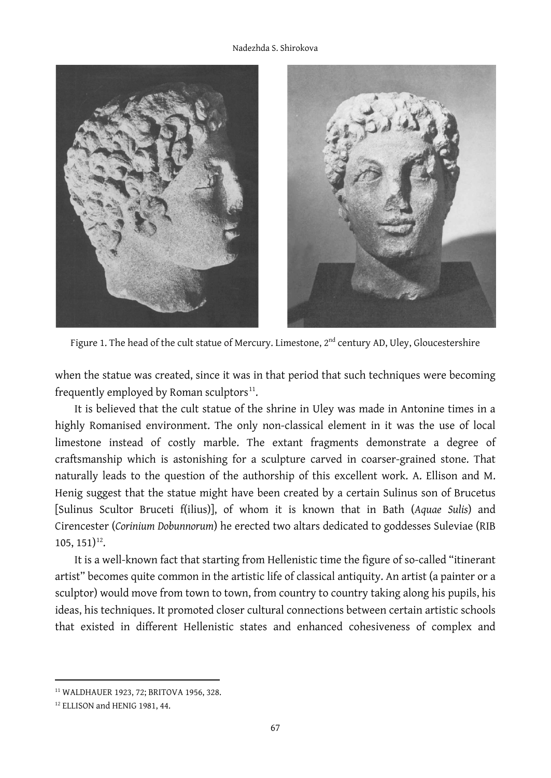

Figure 1. The head of the cult statue of Mercury. Limestone, 2<sup>nd</sup> century AD, Uley, Gloucestershire

when the statue was created, since it was in that period that such techniques were becoming frequently employed by Roman sculptors $^{11}$ .

It is believed that the cult statue of the shrine in Uley was made in Antonine times in a highly Romanised environment. The only non-classical element in it was the use of local limestone instead of costly marble. The extant fragments demonstrate a degree of craftsmanship which is astonishing for a sculpture carved in coarser-grained stone. That naturally leads to the question of the authorship of this excellent work. A. Ellison and M. Henig suggest that the statue might have been created by a certain Sulinus son of Brucetus [Sulinus Scultor Bruceti f(ilius)], of whom it is known that in Bath (*Aquae Sulis*) and Cirencester (*Corinium Dobunnorum*) he erected two altars dedicated to goddesses Suleviae (RIB  $105, 151$ <sup>[12](#page-4-1)</sup>.

It is a well-known fact that starting from Hellenistic time the figure of so-called "itinerant artist" becomes quite common in the artistic life of classical antiquity. An artist (a painter or a sculptor) would move from town to town, from country to country taking along his pupils, his ideas, his techniques. It promoted closer cultural connections between certain artistic schools that existed in different Hellenistic states and enhanced cohesiveness of complex and

<span id="page-4-0"></span><sup>11</sup> WALDHAUER 1923, 72; BRITOVA 1956, 328.

<span id="page-4-1"></span><sup>12</sup> ELLISON and HENIG 1981, 44.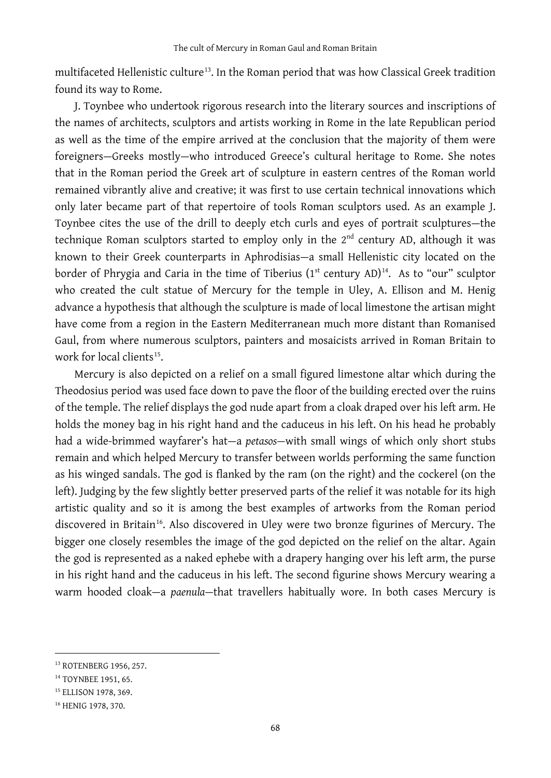multifaceted Hellenistic culture<sup>13</sup>. In the Roman period that was how Classical Greek tradition found its way to Rome.

J. Toynbee who undertook rigorous research into the literary sources and inscriptions of the names of architects, sculptors and artists working in Rome in the late Republican period as well as the time of the empire arrived at the conclusion that the majority of them were foreigners—Greeks mostly—who introduced Greece's cultural heritage to Rome. She notes that in the Roman period the Greek art of sculpture in eastern centres of the Roman world remained vibrantly alive and creative; it was first to use certain technical innovations which only later became part of that repertoire of tools Roman sculptors used. As an example J. Toynbee cites the use of the drill to deeply etch curls and eyes of portrait sculptures—the technique Roman sculptors started to employ only in the 2<sup>nd</sup> century AD, although it was known to their Greek counterparts in Aphrodisias—a small Hellenistic city located on the border of Phrygia and Caria in the time of Tiberius (1st century AD) $^{14}$ . As to "our" sculptor who created the cult statue of Mercury for the temple in Uley, A. Ellison and M. Henig advance a hypothesis that although the sculpture is made of local limestone the artisan might have come from a region in the Eastern Mediterranean much more distant than Romanised Gaul, from where numerous sculptors, painters and mosaicists arrived in Roman Britain to work for local clients<sup>15</sup>.

Mercury is also depicted on a relief on a small figured limestone altar which during the Theodosius period was used face down to pave the floor of the building erected over the ruins of the temple. The relief displays the god nude apart from a cloak draped over his left arm. He holds the money bag in his right hand and the caduceus in his left. On his head he probably had a wide-brimmed wayfarer's hat—a *petasos—*with small wings of which only short stubs remain and which helped Mercury to transfer between worlds performing the same function as his winged sandals. The god is flanked by the ram (on the right) and the cockerel (on the left). Judging by the few slightly better preserved parts of the relief it was notable for its high artistic quality and so it is among the best examples of artworks from the Roman period discovered in Britain<sup>[16](#page-5-3)</sup>. Also discovered in Uley were two bronze figurines of Mercury. The bigger one closely resembles the image of the god depicted on the relief on the altar. Again the god is represented as a naked ephebe with a drapery hanging over his left arm, the purse in his right hand and the caduceus in his left. The second figurine shows Mercury wearing a warm hooded cloak—a *paenula—*that travellers habitually wore. In both cases Mercury is

<span id="page-5-0"></span><sup>13</sup> ROTENBERG 1956, 257.

<span id="page-5-1"></span><sup>&</sup>lt;sup>14</sup> TOYNBEE 1951, 65.

<span id="page-5-2"></span><sup>&</sup>lt;sup>15</sup> ELLISON 1978, 369.

<span id="page-5-3"></span><sup>&</sup>lt;sup>16</sup> HENIG 1978, 370.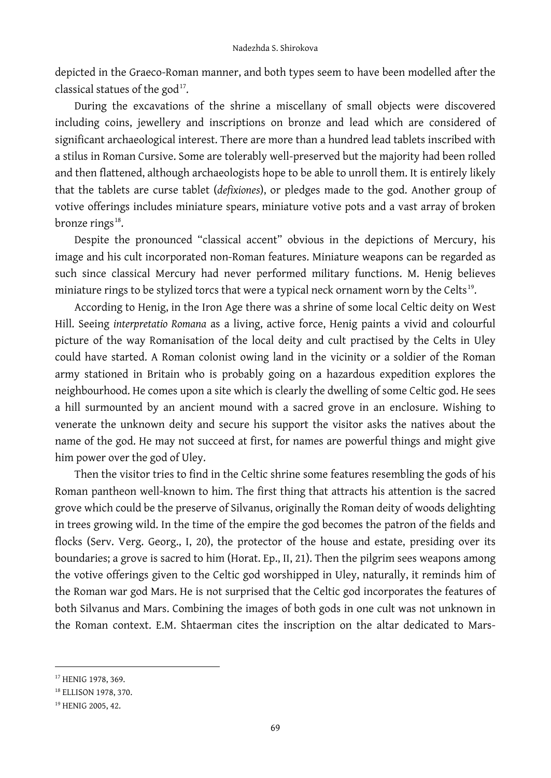depicted in the Graeco-Roman manner, and both types seem to have been modelled after the classical statues of the god<sup>17</sup>.

During the excavations of the shrine a miscellany of small objects were discovered including coins, jewellery and inscriptions on bronze and lead which are considered of significant archaeological interest. There are more than a hundred lead tablets inscribed with a stilus in Roman Cursive. Some are tolerably well-preserved but the majority had been rolled and then flattened, although archaeologists hope to be able to unroll them. It is entirely likely that the tablets are curse tablet (*defixiones*), or pledges made to the god. Another group of votive offerings includes miniature spears, miniature votive pots and a vast array of broken bronze rings<sup>18</sup>.

Despite the pronounced "classical accent" obvious in the depictions of Mercury, his image and his cult incorporated non-Roman features. Miniature weapons can be regarded as such since classical Mercury had never performed military functions. M. Henig believes miniature rings to be stylized torcs that were a typical neck ornament worn by the Celts<sup>19</sup>.

According to Henig, in the Iron Age there was a shrine of some local Celtic deity on West Hill. Seeing *interpretatio Romana* as a living, active force, Henig paints a vivid and colourful picture of the way Romanisation of the local deity and cult practised by the Celts in Uley could have started. A Roman colonist owing land in the vicinity or a soldier of the Roman army stationed in Britain who is probably going on a hazardous expedition explores the neighbourhood. He comes upon a site which is clearly the dwelling of some Celtic god. He sees a hill surmounted by an ancient mound with a sacred grove in an enclosure. Wishing to venerate the unknown deity and secure his support the visitor asks the natives about the name of the god. He may not succeed at first, for names are powerful things and might give him power over the god of Uley.

Then the visitor tries to find in the Celtic shrine some features resembling the gods of his Roman pantheon well-known to him. The first thing that attracts his attention is the sacred grove which could be the preserve of Silvanus, originally the Roman deity of woods delighting in trees growing wild. In the time of the empire the god becomes the patron of the fields and flocks (Serv. Verg. Georg., I, 20), the protector of the house and estate, presiding over its boundaries; a grove is sacred to him (Horat. Ep., II, 21). Then the pilgrim sees weapons among the votive offerings given to the Celtic god worshipped in Uley, naturally, it reminds him of the Roman war god Mars. He is not surprised that the Celtic god incorporates the features of both Silvanus and Mars. Combining the images of both gods in one cult was not unknown in the Roman context. E.M. Shtaerman cites the inscription on the altar dedicated to Mars-

<span id="page-6-0"></span><sup>&</sup>lt;sup>17</sup> HENIG 1978, 369.

<span id="page-6-1"></span><sup>&</sup>lt;sup>18</sup> ELLISON 1978, 370.

<span id="page-6-2"></span><sup>19</sup> HENIG 2005, 42.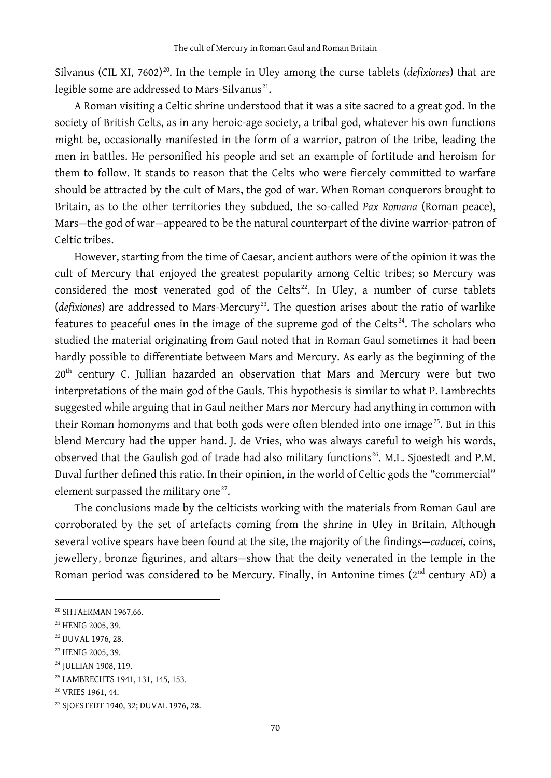Silvanus (CIL XI, 7602)<sup>[20](#page-7-0)</sup>. In the temple in Uley among the curse tablets (*defixiones*) that are legible some are addressed to Mars-Silvanus<sup>[21](#page-7-1)</sup>.

A Roman visiting a Celtic shrine understood that it was a site sacred to a great god. In the society of British Celts, as in any heroic-age society, a tribal god, whatever his own functions might be, occasionally manifested in the form of a warrior, patron of the tribe, leading the men in battles. He personified his people and set an example of fortitude and heroism for them to follow. It stands to reason that the Celts who were fiercely committed to warfare should be attracted by the cult of Mars, the god of war. When Roman conquerors brought to Britain, as to the other territories they subdued, the so-called *Pax Romana* (Roman peace), Mars—the god of war—appeared to be the natural counterpart of the divine warrior-patron of Celtic tribes.

However, starting from the time of Caesar, ancient authors were of the opinion it was the cult of Mercury that enjoyed the greatest popularity among Celtic tribes; so Mercury was considered the most venerated god of the Celts<sup>[22](#page-7-2)</sup>. In Uley, a number of curse tablets (*defixiones*) are addressed to Mars-Mercury<sup>23</sup>. The question arises about the ratio of warlike features to peaceful ones in the image of the supreme god of the Celts<sup>[24](#page-7-4)</sup>. The scholars who studied the material originating from Gaul noted that in Roman Gaul sometimes it had been hardly possible to differentiate between Mars and Mercury. As early as the beginning of the 20<sup>th</sup> century C. Jullian hazarded an observation that Mars and Mercury were but two interpretations of the main god of the Gauls. This hypothesis is similar to what P. Lambrechts suggested while arguing that in Gaul neither Mars nor Mercury had anything in common with their Roman homonyms and that both gods were often blended into one image<sup>[25](#page-7-5)</sup>. But in this blend Mercury had the upper hand. J. de Vries, who was always careful to weigh his words, observed that the Gaulish god of trade had also military functions<sup>[26](#page-7-6)</sup>. M.L. Sjoestedt and P.M. Duval further defined this ratio. In their opinion, in the world of Celtic gods the "commercial" element surpassed the military one<sup>[27](#page-7-7)</sup>.

The conclusions made by the celticists working with the materials from Roman Gaul are corroborated by the set of artefacts coming from the shrine in Uley in Britain. Although several votive spears have been found at the site, the majority of the findings—*caducei*, coins, jewellery, bronze figurines, and altars—show that the deity venerated in the temple in the Roman period was considered to be Mercury. Finally, in Antonine times  $(2<sup>nd</sup>$  century AD) a

<span id="page-7-0"></span><sup>20</sup> SHTAERMAN 1967,66.

<span id="page-7-1"></span><sup>&</sup>lt;sup>21</sup> HENIG 2005, 39.

<span id="page-7-2"></span><sup>&</sup>lt;sup>22</sup> DUVAL 1976, 28.

<span id="page-7-3"></span><sup>&</sup>lt;sup>23</sup> HENIG 2005, 39.

<span id="page-7-4"></span><sup>&</sup>lt;sup>24</sup> JULLIAN 1908, 119.

<span id="page-7-5"></span><sup>25</sup> LAMBRECHTS 1941, 131, 145, 153.

<span id="page-7-6"></span><sup>&</sup>lt;sup>26</sup> VRIES 1961, 44.

<span id="page-7-7"></span><sup>27</sup> SJOESTEDT 1940, 32; DUVAL 1976, 28.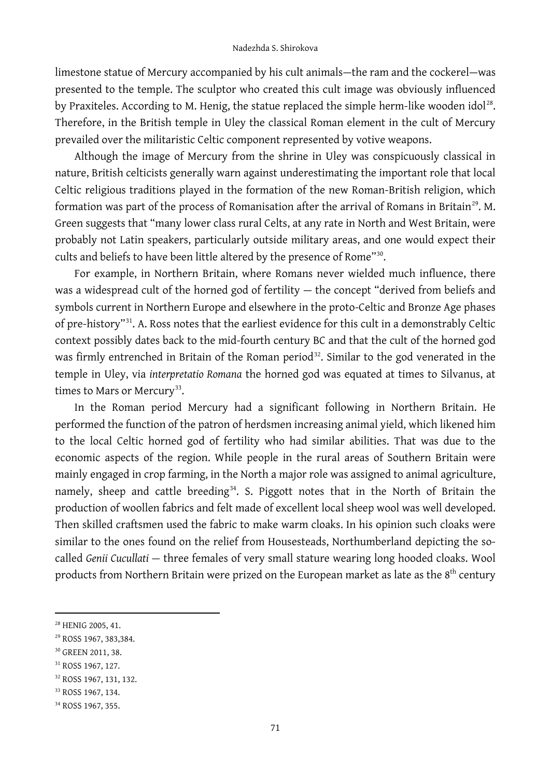limestone statue of Mercury accompanied by his cult animals—the ram and the cockerel—was presented to the temple. The sculptor who created this cult image was obviously influenced by Praxiteles. According to M. Henig, the statue replaced the simple herm-like wooden idol<sup>[28](#page-8-0)</sup>. Therefore, in the British temple in Uley the classical Roman element in the cult of Mercury prevailed over the militaristic Celtic component represented by votive weapons.

Although the image of Mercury from the shrine in Uley was conspicuously classical in nature, British celticists generally warn against underestimating the important role that local Celtic religious traditions played in the formation of the new Roman-British religion, which formation was part of the process of Romanisation after the arrival of Romans in Britain<sup>29</sup>. M. Green suggests that "many lower class rural Celts, at any rate in North and West Britain, were probably not Latin speakers, particularly outside military areas, and one would expect their cults and beliefs to have been little altered by the presence of Rome"<sup>[30](#page-8-2)</sup>.

For example, in Northern Britain, where Romans never wielded much influence, there was a widespread cult of the horned god of fertility — the concept "derived from beliefs and symbols current in Northern Europe and elsewhere in the proto-Celtic and Bronze Age phases of pre-history"[31.](#page-8-3) A. Ross notes that the earliest evidence for this cult in a demonstrably Celtic context possibly dates back to the mid-fourth century BC and that the cult of the horned god was firmly entrenched in Britain of the Roman period<sup>32</sup>. Similar to the god venerated in the temple in Uley, via *interpretatio Romana* the horned god was equated at times to Silvanus, at times to Mars or Mercury<sup>33</sup>.

In the Roman period Mercury had a significant following in Northern Britain. He performed the function of the patron of herdsmen increasing animal yield, which likened him to the local Celtic horned god of fertility who had similar abilities. That was due to the economic aspects of the region. While people in the rural areas of Southern Britain were mainly engaged in crop farming, in the North a major role was assigned to animal agriculture, namely, sheep and cattle breeding<sup>34</sup>. S. Piggott notes that in the North of Britain the production of woollen fabrics and felt made of excellent local sheep wool was well developed. Then skilled craftsmen used the fabric to make warm cloaks. In his opinion such cloaks were similar to the ones found on the relief from Housesteads, Northumberland depicting the socalled *Genii Cucullati —* three females of very small stature wearing long hooded cloaks. Wool products from Northern Britain were prized on the European market as late as the 8<sup>th</sup> century

<span id="page-8-0"></span><sup>28</sup> HENIG 2005, 41.

<span id="page-8-1"></span><sup>29</sup> ROSS 1967, 383,384.

<span id="page-8-2"></span><sup>30</sup> GREEN 2011, 38.

<span id="page-8-3"></span><sup>&</sup>lt;sup>31</sup> ROSS 1967, 127.

<span id="page-8-4"></span><sup>32</sup> ROSS 1967, 131, 132.

<span id="page-8-5"></span><sup>&</sup>lt;sup>33</sup> ROSS 1967, 134.

<span id="page-8-6"></span><sup>34</sup> ROSS 1967, 355.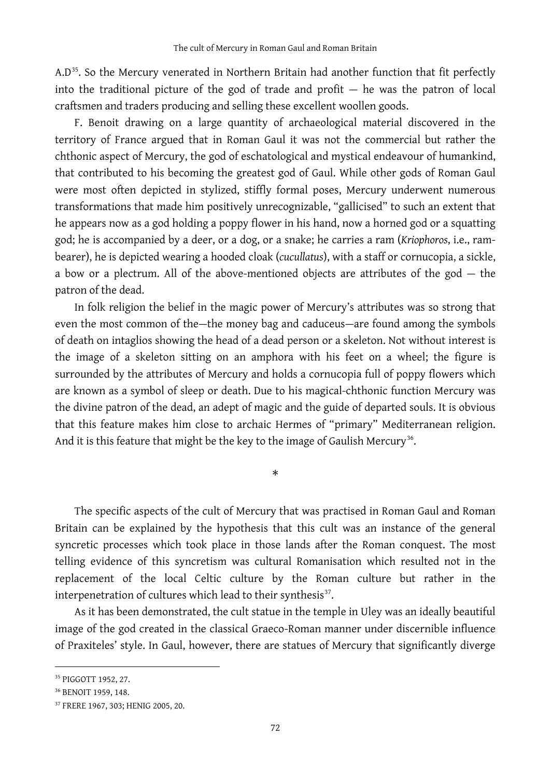$A.D<sup>35</sup>$ . So the Mercury venerated in Northern Britain had another function that fit perfectly into the traditional picture of the god of trade and profit — he was the patron of local craftsmen and traders producing and selling these excellent woollen goods.

F. Benoit drawing on a large quantity of archaeological material discovered in the territory of France argued that in Roman Gaul it was not the commercial but rather the chthonic aspect of Mercury, the god of eschatological and mystical endeavour of humankind, that contributed to his becoming the greatest god of Gaul. While other gods of Roman Gaul were most often depicted in stylized, stiffly formal poses, Mercury underwent numerous transformations that made him positively unrecognizable, "gallicised" to such an extent that he appears now as a god holding a poppy flower in his hand, now a horned god or a squatting god; he is accompanied by a deer, or a dog, or a snake; he carries a ram (*Kriophoros*, i.e., rambearer), he is depicted wearing a hooded cloak (*cucullatus*), with a staff or cornucopia, a sickle, a bow or a plectrum. All of the above-mentioned objects are attributes of the god  $-$  the patron of the dead.

In folk religion the belief in the magic power of Mercury's attributes was so strong that even the most common of the—the money bag and caduceus—are found among the symbols of death on intaglios showing the head of a dead person or a skeleton. Not without interest is the image of a skeleton sitting on an amphora with his feet on a wheel; the figure is surrounded by the attributes of Mercury and holds a cornucopia full of poppy flowers which are known as a symbol of sleep or death. Due to his magical-chthonic function Mercury was the divine patron of the dead, an adept of magic and the guide of departed souls. It is obvious that this feature makes him close to archaic Hermes of "primary" Mediterranean religion. And it is this feature that might be the key to the image of Gaulish Mercury<sup>36</sup>.

\*

The specific aspects of the cult of Mercury that was practised in Roman Gaul and Roman Britain can be explained by the hypothesis that this cult was an instance of the general syncretic processes which took place in those lands after the Roman conquest. The most telling evidence of this syncretism was cultural Romanisation which resulted not in the replacement of the local Celtic culture by the Roman culture but rather in the interpenetration of cultures which lead to their synthesis<sup>37</sup>.

As it has been demonstrated, the cult statue in the temple in Uley was an ideally beautiful image of the god created in the classical Graeco-Roman manner under discernible influence of Praxiteles' style. In Gaul, however, there are statues of Mercury that significantly diverge

<span id="page-9-0"></span><sup>35</sup> PIGGOTT 1952, 27.

<span id="page-9-1"></span><sup>36</sup> BENOIT 1959, 148.

<span id="page-9-2"></span><sup>37</sup> FRERE 1967, 303; HENIG 2005, 20.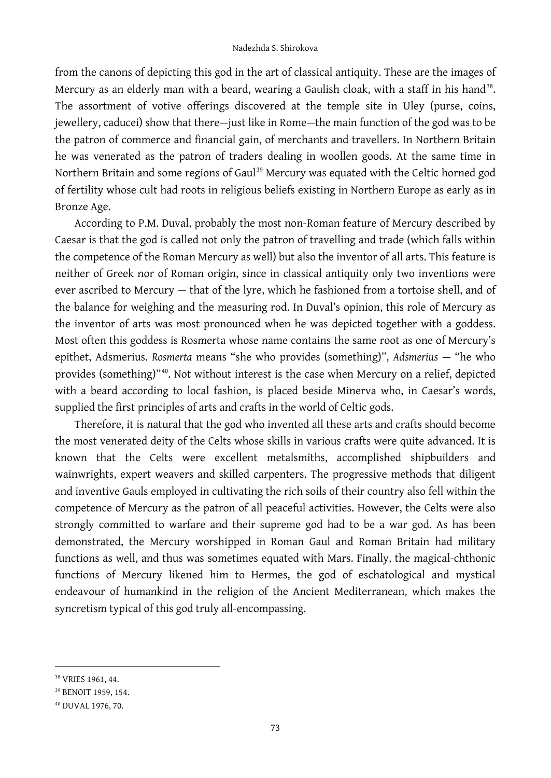from the canons of depicting this god in the art of classical antiquity. These are the images of Mercury as an elderly man with a beard, wearing a Gaulish cloak, with a staff in his hand<sup>[38](#page-10-0)</sup>. The assortment of votive offerings discovered at the temple site in Uley (purse, coins, jewellery, caducei) show that there—just like in Rome—the main function of the god was to be the patron of commerce and financial gain, of merchants and travellers. In Northern Britain he was venerated as the patron of traders dealing in woollen goods. At the same time in Northern Britain and some regions of Gaul<sup>[39](#page-10-1)</sup> Mercury was equated with the Celtic horned god of fertility whose cult had roots in religious beliefs existing in Northern Europe as early as in Bronze Age.

According to P.M. Duval, probably the most non-Roman feature of Mercury described by Caesar is that the god is called not only the patron of travelling and trade (which falls within the competence of the Roman Mercury as well) but also the inventor of all arts. This feature is neither of Greek nor of Roman origin, since in classical antiquity only two inventions were ever ascribed to Mercury — that of the lyre, which he fashioned from a tortoise shell, and of the balance for weighing and the measuring rod. In Duval's opinion, this role of Mercury as the inventor of arts was most pronounced when he was depicted together with a goddess. Most often this goddess is Rosmerta whose name contains the same root as one of Mercury's epithet, Adsmerius. *Rosmerta* means "she who provides (something)", *Adsmerius* — "he who provides (something)"[40](#page-10-2). Not without interest is the case when Mercury on a relief, depicted with a beard according to local fashion, is placed beside Minerva who, in Caesar's words, supplied the first principles of arts and crafts in the world of Celtic gods.

Therefore, it is natural that the god who invented all these arts and crafts should become the most venerated deity of the Celts whose skills in various crafts were quite advanced. It is known that the Celts were excellent metalsmiths, accomplished shipbuilders and wainwrights, expert weavers and skilled carpenters. The progressive methods that diligent and inventive Gauls employed in cultivating the rich soils of their country also fell within the competence of Mercury as the patron of all peaceful activities. However, the Celts were also strongly committed to warfare and their supreme god had to be a war god. As has been demonstrated, the Mercury worshipped in Roman Gaul and Roman Britain had military functions as well, and thus was sometimes equated with Mars. Finally, the magical-chthonic functions of Mercury likened him to Hermes, the god of eschatological and mystical endeavour of humankind in the religion of the Ancient Mediterranean, which makes the syncretism typical of this god truly all-encompassing.

<span id="page-10-0"></span><sup>38</sup> VRIES 1961, 44.

<span id="page-10-1"></span><sup>39</sup> BENOIT 1959, 154.

<span id="page-10-2"></span><sup>40</sup> DUVAL 1976, 70.